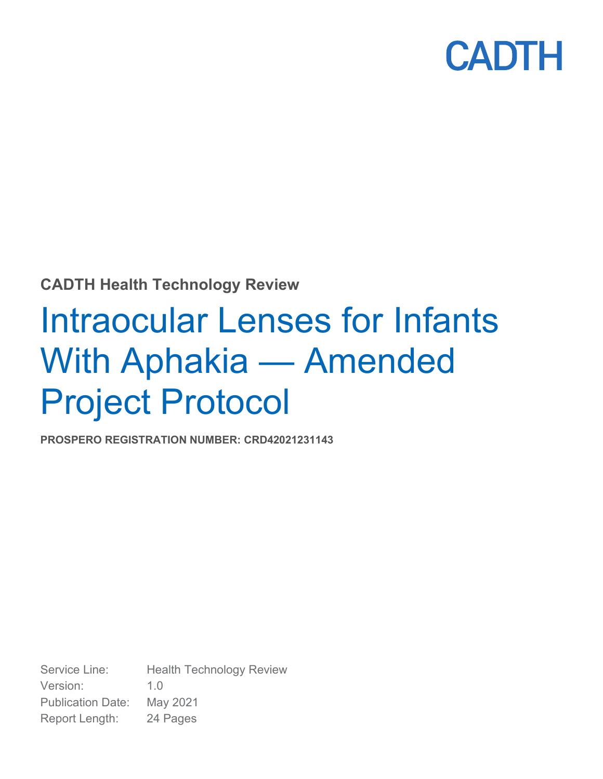

### **CADTH Health Technology Review**

# Intraocular Lenses for Infants With Aphakia — Amended Project Protocol

**PROSPERO REGISTRATION NUMBER: CRD42021231143**

Service Line: Health Technology Review Version: 1.0 Publication Date: May 2021 Report Length: 24 Pages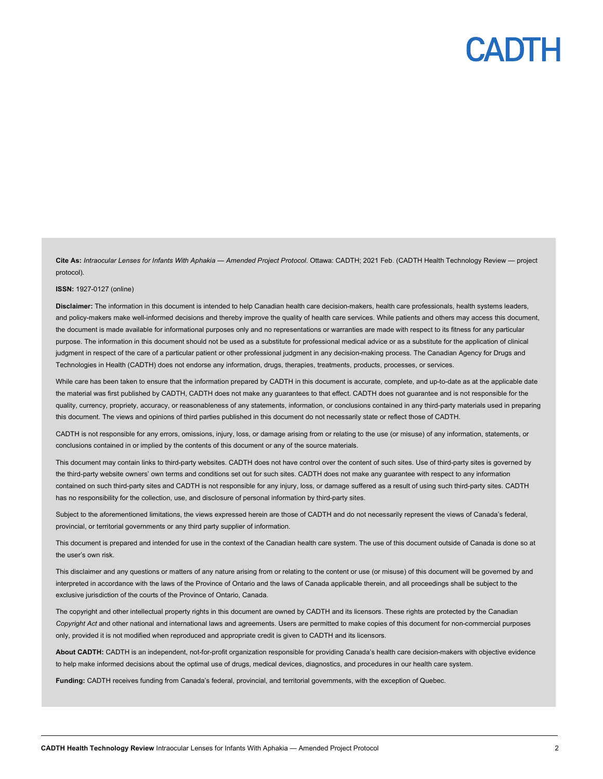**Cite As:** *Intraocular Lenses for Infants With Aphakia — Amended Project Protocol*. Ottawa: CADTH; 2021 Feb. (CADTH Health Technology Review — project protocol).

#### **ISSN:** 1927-0127 (online)

**Disclaimer:** The information in this document is intended to help Canadian health care decision-makers, health care professionals, health systems leaders, and policy-makers make well-informed decisions and thereby improve the quality of health care services. While patients and others may access this document, the document is made available for informational purposes only and no representations or warranties are made with respect to its fitness for any particular purpose. The information in this document should not be used as a substitute for professional medical advice or as a substitute for the application of clinical judgment in respect of the care of a particular patient or other professional judgment in any decision-making process. The Canadian Agency for Drugs and Technologies in Health (CADTH) does not endorse any information, drugs, therapies, treatments, products, processes, or services.

While care has been taken to ensure that the information prepared by CADTH in this document is accurate, complete, and up-to-date as at the applicable date the material was first published by CADTH, CADTH does not make any guarantees to that effect. CADTH does not guarantee and is not responsible for the quality, currency, propriety, accuracy, or reasonableness of any statements, information, or conclusions contained in any third-party materials used in preparing this document. The views and opinions of third parties published in this document do not necessarily state or reflect those of CADTH.

CADTH is not responsible for any errors, omissions, injury, loss, or damage arising from or relating to the use (or misuse) of any information, statements, or conclusions contained in or implied by the contents of this document or any of the source materials.

This document may contain links to third-party websites. CADTH does not have control over the content of such sites. Use of third-party sites is governed by the third-party website owners' own terms and conditions set out for such sites. CADTH does not make any guarantee with respect to any information contained on such third-party sites and CADTH is not responsible for any injury, loss, or damage suffered as a result of using such third-party sites. CADTH has no responsibility for the collection, use, and disclosure of personal information by third-party sites.

Subject to the aforementioned limitations, the views expressed herein are those of CADTH and do not necessarily represent the views of Canada's federal, provincial, or territorial governments or any third party supplier of information.

This document is prepared and intended for use in the context of the Canadian health care system. The use of this document outside of Canada is done so at the user's own risk.

This disclaimer and any questions or matters of any nature arising from or relating to the content or use (or misuse) of this document will be governed by and interpreted in accordance with the laws of the Province of Ontario and the laws of Canada applicable therein, and all proceedings shall be subject to the exclusive jurisdiction of the courts of the Province of Ontario, Canada.

The copyright and other intellectual property rights in this document are owned by CADTH and its licensors. These rights are protected by the Canadian *Copyright Act* and other national and international laws and agreements. Users are permitted to make copies of this document for non-commercial purposes only, provided it is not modified when reproduced and appropriate credit is given to CADTH and its licensors.

**About CADTH:** CADTH is an independent, not-for-profit organization responsible for providing Canada's health care decision-makers with objective evidence to help make informed decisions about the optimal use of drugs, medical devices, diagnostics, and procedures in our health care system.

**Funding:** CADTH receives funding from Canada's federal, provincial, and territorial governments, with the exception of Quebec.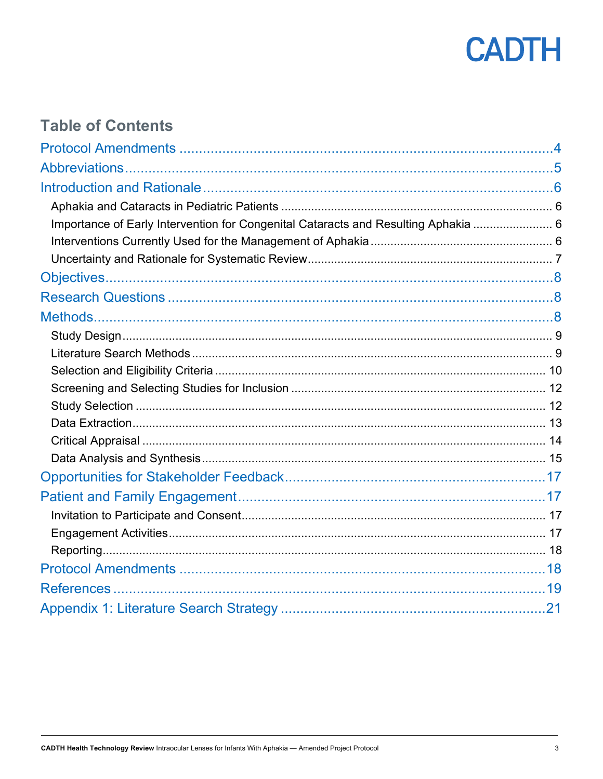

## **Table of Contents**

| Importance of Early Intervention for Congenital Cataracts and Resulting Aphakia  6 |  |
|------------------------------------------------------------------------------------|--|
|                                                                                    |  |
|                                                                                    |  |
|                                                                                    |  |
|                                                                                    |  |
|                                                                                    |  |
|                                                                                    |  |
|                                                                                    |  |
|                                                                                    |  |
|                                                                                    |  |
|                                                                                    |  |
|                                                                                    |  |
|                                                                                    |  |
|                                                                                    |  |
|                                                                                    |  |
|                                                                                    |  |
|                                                                                    |  |
|                                                                                    |  |
|                                                                                    |  |
|                                                                                    |  |
|                                                                                    |  |
|                                                                                    |  |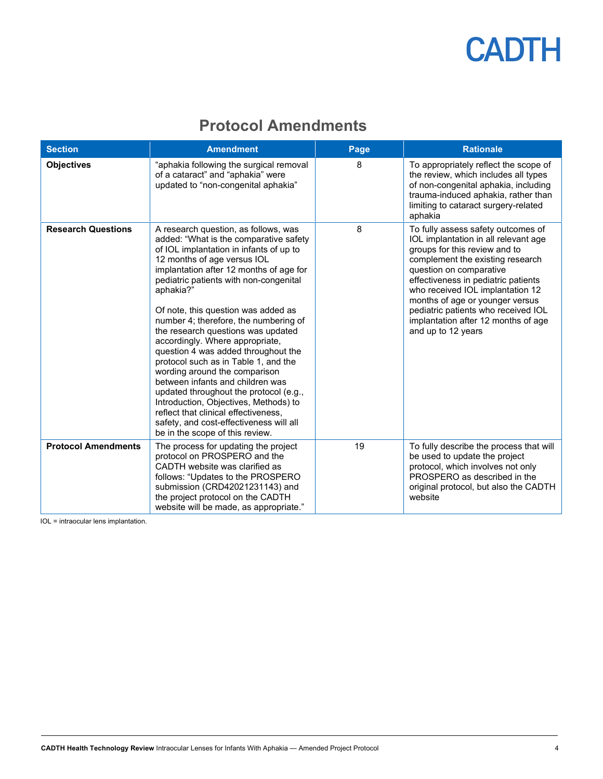## **Protocol Amendments**

<span id="page-3-0"></span>

| <b>Section</b>             | <b>Amendment</b>                                                                                                                                                                                                                                                                                                                                                                                                                                                                                                                                                                                                                                                                                                                                                                 | Page | <b>Rationale</b>                                                                                                                                                                                                                                                                                                                                                                             |
|----------------------------|----------------------------------------------------------------------------------------------------------------------------------------------------------------------------------------------------------------------------------------------------------------------------------------------------------------------------------------------------------------------------------------------------------------------------------------------------------------------------------------------------------------------------------------------------------------------------------------------------------------------------------------------------------------------------------------------------------------------------------------------------------------------------------|------|----------------------------------------------------------------------------------------------------------------------------------------------------------------------------------------------------------------------------------------------------------------------------------------------------------------------------------------------------------------------------------------------|
| <b>Objectives</b>          | "aphakia following the surgical removal<br>of a cataract" and "aphakia" were<br>updated to "non-congenital aphakia"                                                                                                                                                                                                                                                                                                                                                                                                                                                                                                                                                                                                                                                              | 8    | To appropriately reflect the scope of<br>the review, which includes all types<br>of non-congenital aphakia, including<br>trauma-induced aphakia, rather than<br>limiting to cataract surgery-related<br>aphakia                                                                                                                                                                              |
| <b>Research Questions</b>  | A research question, as follows, was<br>added: "What is the comparative safety<br>of IOL implantation in infants of up to<br>12 months of age versus IOL<br>implantation after 12 months of age for<br>pediatric patients with non-congenital<br>aphakia?"<br>Of note, this question was added as<br>number 4; therefore, the numbering of<br>the research questions was updated<br>accordingly. Where appropriate,<br>question 4 was added throughout the<br>protocol such as in Table 1, and the<br>wording around the comparison<br>between infants and children was<br>updated throughout the protocol (e.g.,<br>Introduction, Objectives, Methods) to<br>reflect that clinical effectiveness,<br>safety, and cost-effectiveness will all<br>be in the scope of this review. | 8    | To fully assess safety outcomes of<br>IOL implantation in all relevant age<br>groups for this review and to<br>complement the existing research<br>question on comparative<br>effectiveness in pediatric patients<br>who received IOL implantation 12<br>months of age or younger versus<br>pediatric patients who received IOL<br>implantation after 12 months of age<br>and up to 12 years |
| <b>Protocol Amendments</b> | The process for updating the project<br>protocol on PROSPERO and the<br>CADTH website was clarified as<br>follows: "Updates to the PROSPERO<br>submission (CRD42021231143) and<br>the project protocol on the CADTH<br>website will be made, as appropriate."                                                                                                                                                                                                                                                                                                                                                                                                                                                                                                                    | 19   | To fully describe the process that will<br>be used to update the project<br>protocol, which involves not only<br>PROSPERO as described in the<br>original protocol, but also the CADTH<br>website                                                                                                                                                                                            |

IOL = intraocular lens implantation.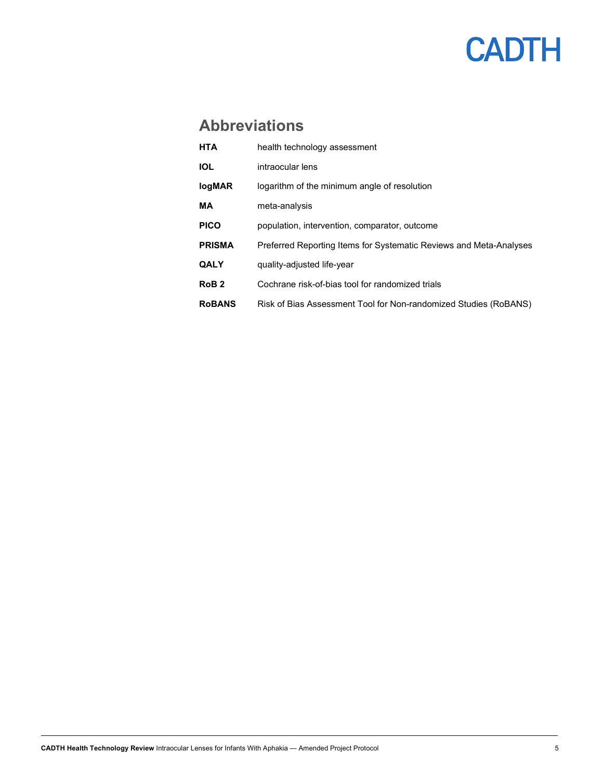### <span id="page-4-0"></span>**Abbreviations**

| <b>HTA</b>       | health technology assessment                                       |
|------------------|--------------------------------------------------------------------|
| <b>IOL</b>       | intraocular lens                                                   |
| <b>logMAR</b>    | logarithm of the minimum angle of resolution                       |
| MА               | meta-analysis                                                      |
| <b>PICO</b>      | population, intervention, comparator, outcome                      |
| <b>PRISMA</b>    | Preferred Reporting Items for Systematic Reviews and Meta-Analyses |
| <b>QALY</b>      | quality-adjusted life-year                                         |
| RoB <sub>2</sub> | Cochrane risk-of-bias tool for randomized trials                   |
| <b>RoBANS</b>    | Risk of Bias Assessment Tool for Non-randomized Studies (RoBANS)   |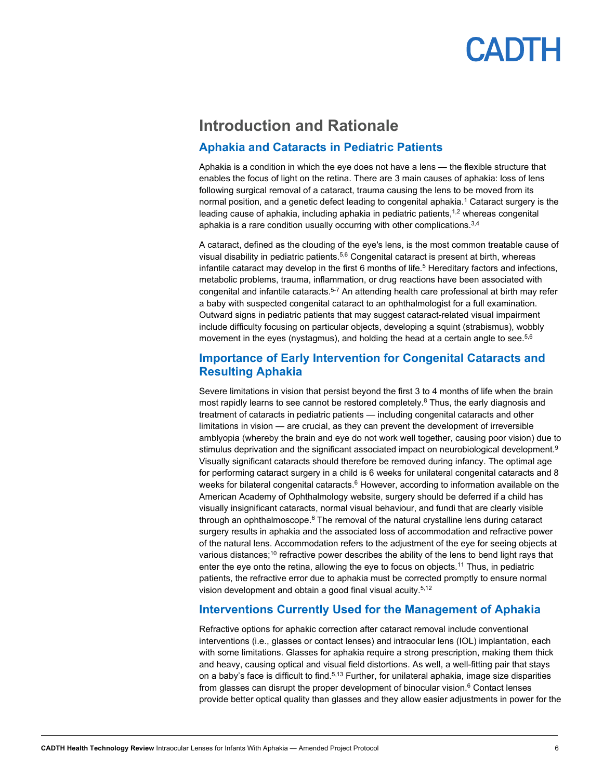### <span id="page-5-0"></span>**Introduction and Rationale**

#### <span id="page-5-1"></span>**Aphakia and Cataracts in Pediatric Patients**

Aphakia is a condition in which the eye does not have a lens — the flexible structure that enables the focus of light on the retina. There are 3 main causes of aphakia: loss of lens following surgical removal of a cataract, trauma causing the lens to be moved from its normal position, and a genetic defect leading to congenital aphakia.<sup>1</sup> Cataract surgery is the leading cause of aphakia, including aphakia in pediatric patients,<sup>1,2</sup> whereas congenital aphakia is a rare condition usually occurring with other complications.<sup>3,4</sup>

A cataract, defined as the clouding of the eye's lens, is the most common treatable cause of visual disability in pediatric patients. 5,6 Congenital cataract is present at birth, whereas infantile cataract may develop in the first 6 months of life.<sup>5</sup> Hereditary factors and infections, metabolic problems, trauma, inflammation, or drug reactions have been associated with congenital and infantile cataracts. 5-7 An attending health care professional at birth may refer a baby with suspected congenital cataract to an ophthalmologist for a full examination. Outward signs in pediatric patients that may suggest cataract-related visual impairment include difficulty focusing on particular objects, developing a squint (strabismus), wobbly movement in the eyes (nystagmus), and holding the head at a certain angle to see. 5,6

#### <span id="page-5-2"></span>**Importance of Early Intervention for Congenital Cataracts and Resulting Aphakia**

Severe limitations in vision that persist beyond the first 3 to 4 months of life when the brain most rapidly learns to see cannot be restored completely. <sup>8</sup> Thus, the early diagnosis and treatment of cataracts in pediatric patients — including congenital cataracts and other limitations in vision — are crucial, as they can prevent the development of irreversible amblyopia (whereby the brain and eye do not work well together, causing poor vision) due to stimulus deprivation and the significant associated impact on neurobiological development. 9 Visually significant cataracts should therefore be removed during infancy. The optimal age for performing cataract surgery in a child is 6 weeks for unilateral congenital cataracts and 8 weeks for bilateral congenital cataracts.<sup>6</sup> However, according to information available on the American Academy of Ophthalmology website, surgery should be deferred if a child has visually insignificant cataracts, normal visual behaviour, and fundi that are clearly visible through an ophthalmoscope. <sup>6</sup> The removal of the natural crystalline lens during cataract surgery results in aphakia and the associated loss of accommodation and refractive power of the natural lens. Accommodation refers to the adjustment of the eye for seeing objects at various distances; $^{\rm 10}$  refractive power describes the ability of the lens to bend light rays that enter the eye onto the retina, allowing the eye to focus on objects.<sup>11</sup> Thus, in pediatric patients, the refractive error due to aphakia must be corrected promptly to ensure normal vision development and obtain a good final visual acuity.5,12

#### <span id="page-5-3"></span>**Interventions Currently Used for the Management of Aphakia**

Refractive options for aphakic correction after cataract removal include conventional interventions (i.e., glasses or contact lenses) and intraocular lens (IOL) implantation, each with some limitations. Glasses for aphakia require a strong prescription, making them thick and heavy, causing optical and visual field distortions. As well, a well-fitting pair that stays on a baby's face is difficult to find.<sup>5,13</sup> Further, for unilateral aphakia, image size disparities from glasses can disrupt the proper development of binocular vision. $6$  Contact lenses provide better optical quality than glasses and they allow easier adjustments in power for the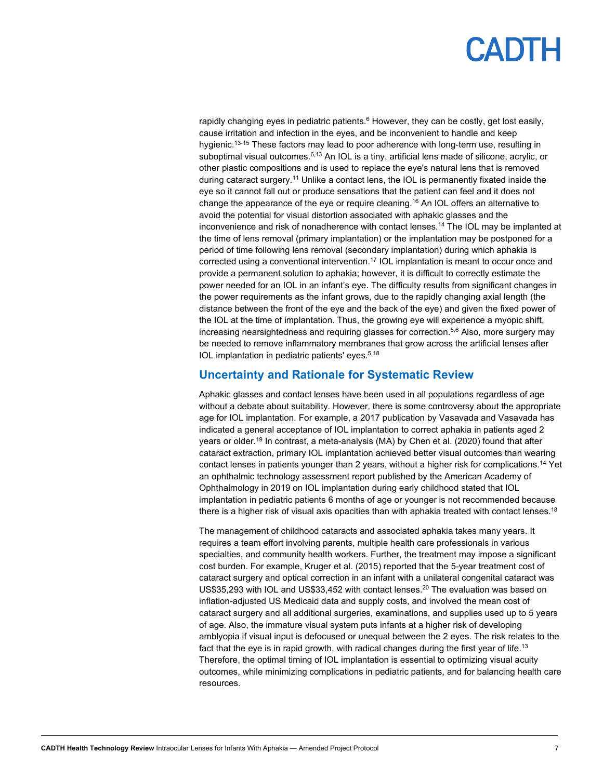rapidly changing eyes in pediatric patients.<sup>6</sup> However, they can be costly, get lost easily, cause irritation and infection in the eyes, and be inconvenient to handle and keep hygienic. 13-15 These factors may lead to poor adherence with long-term use, resulting in suboptimal visual outcomes.<sup>6,13</sup> An IOL is a tiny, artificial lens made of silicone, acrylic, or other plastic compositions and is used to replace the eye's natural lens that is removed during cataract surgery.11 Unlike a contact lens, the IOL is permanently fixated inside the eye so it cannot fall out or produce sensations that the patient can feel and it does not change the appearance of the eye or require cleaning. <sup>16</sup> An IOL offers an alternative to avoid the potential for visual distortion associated with aphakic glasses and the inconvenience and risk of nonadherence with contact lenses. <sup>14</sup> The IOL may be implanted at the time of lens removal (primary implantation) or the implantation may be postponed for a period of time following lens removal (secondary implantation) during which aphakia is corrected using a conventional intervention.17 IOL implantation is meant to occur once and provide a permanent solution to aphakia; however, it is difficult to correctly estimate the power needed for an IOL in an infant's eye. The difficulty results from significant changes in the power requirements as the infant grows, due to the rapidly changing axial length (the distance between the front of the eye and the back of the eye) and given the fixed power of the IOL at the time of implantation. Thus, the growing eye will experience a myopic shift, increasing nearsightedness and requiring glasses for correction. 5,6 Also, more surgery may be needed to remove inflammatory membranes that grow across the artificial lenses after IOL implantation in pediatric patients' eyes. 5,18

#### <span id="page-6-0"></span>**Uncertainty and Rationale for Systematic Review**

Aphakic glasses and contact lenses have been used in all populations regardless of age without a debate about suitability. However, there is some controversy about the appropriate age for IOL implantation. For example, a 2017 publication by Vasavada and Vasavada has indicated a general acceptance of IOL implantation to correct aphakia in patients aged 2 years or older. <sup>19</sup> In contrast, a meta-analysis (MA) by Chen et al. (2020) found that after cataract extraction, primary IOL implantation achieved better visual outcomes than wearing contact lenses in patients younger than 2 years, without a higher risk for complications. <sup>14</sup> Yet an ophthalmic technology assessment report published by the American Academy of Ophthalmology in 2019 on IOL implantation during early childhood stated that IOL implantation in pediatric patients 6 months of age or younger is not recommended because there is a higher risk of visual axis opacities than with aphakia treated with contact lenses. $^{\rm 18}$ 

The management of childhood cataracts and associated aphakia takes many years. It requires a team effort involving parents, multiple health care professionals in various specialties, and community health workers. Further, the treatment may impose a significant cost burden. For example, Kruger et al. (2015) reported that the 5-year treatment cost of cataract surgery and optical correction in an infant with a unilateral congenital cataract was US\$35,293 with IOL and US\$33,452 with contact lenses.<sup>20</sup> The evaluation was based on inflation-adjusted US Medicaid data and supply costs, and involved the mean cost of cataract surgery and all additional surgeries, examinations, and supplies used up to 5 years of age. Also, the immature visual system puts infants at a higher risk of developing amblyopia if visual input is defocused or unequal between the 2 eyes. The risk relates to the fact that the eye is in rapid growth, with radical changes during the first year of life.<sup>13</sup> Therefore, the optimal timing of IOL implantation is essential to optimizing visual acuity outcomes, while minimizing complications in pediatric patients, and for balancing health care resources.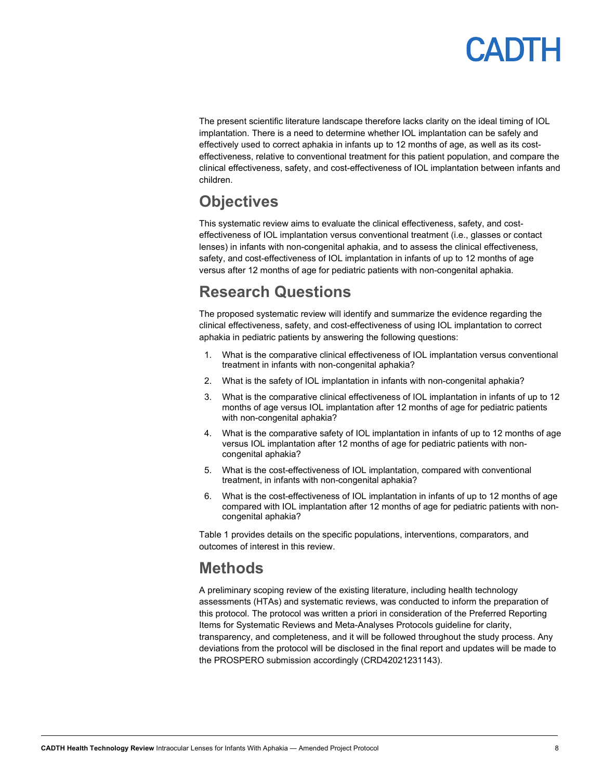The present scientific literature landscape therefore lacks clarity on the ideal timing of IOL implantation. There is a need to determine whether IOL implantation can be safely and effectively used to correct aphakia in infants up to 12 months of age, as well as its costeffectiveness, relative to conventional treatment for this patient population, and compare the clinical effectiveness, safety, and cost-effectiveness of IOL implantation between infants and children.

### <span id="page-7-0"></span>**Objectives**

This systematic review aims to evaluate the clinical effectiveness, safety, and costeffectiveness of IOL implantation versus conventional treatment (i.e., glasses or contact lenses) in infants with non-congenital aphakia, and to assess the clinical effectiveness, safety, and cost-effectiveness of IOL implantation in infants of up to 12 months of age versus after 12 months of age for pediatric patients with non-congenital aphakia.

### <span id="page-7-1"></span>**Research Questions**

The proposed systematic review will identify and summarize the evidence regarding the clinical effectiveness, safety, and cost-effectiveness of using IOL implantation to correct aphakia in pediatric patients by answering the following questions:

- 1. What is the comparative clinical effectiveness of IOL implantation versus conventional treatment in infants with non-congenital aphakia?
- 2. What is the safety of IOL implantation in infants with non-congenital aphakia?
- 3. What is the comparative clinical effectiveness of IOL implantation in infants of up to 12 months of age versus IOL implantation after 12 months of age for pediatric patients with non-congenital aphakia?
- 4. What is the comparative safety of IOL implantation in infants of up to 12 months of age versus IOL implantation after 12 months of age for pediatric patients with noncongenital aphakia?
- 5. What is the cost-effectiveness of IOL implantation, compared with conventional treatment, in infants with non-congenital aphakia?
- 6. What is the cost-effectiveness of IOL implantation in infants of up to 12 months of age compared with IOL [implantation after 12 months of age for pediatric patients with non](#page-9-2)congenital aphakia?

[Table](#page-9-2) 1 provides details on the specific populations, interventions, comparators, and outcomes of interest in this review.

### <span id="page-7-2"></span>**Methods**

A preliminary scoping review of the existing literature, including health technology assessments (HTAs) and systematic reviews, was conducted to inform the preparation of this protocol. The protocol was written a priori in consideration of the Preferred Reporting Items for Systematic Reviews and Meta-Analyses Protocols guideline for clarity, transparency, and completeness, and it will be followed throughout the study process. Any deviations from the protocol will be disclosed in the final report and updates will be made to the PROSPERO submission accordingly (CRD42021231143).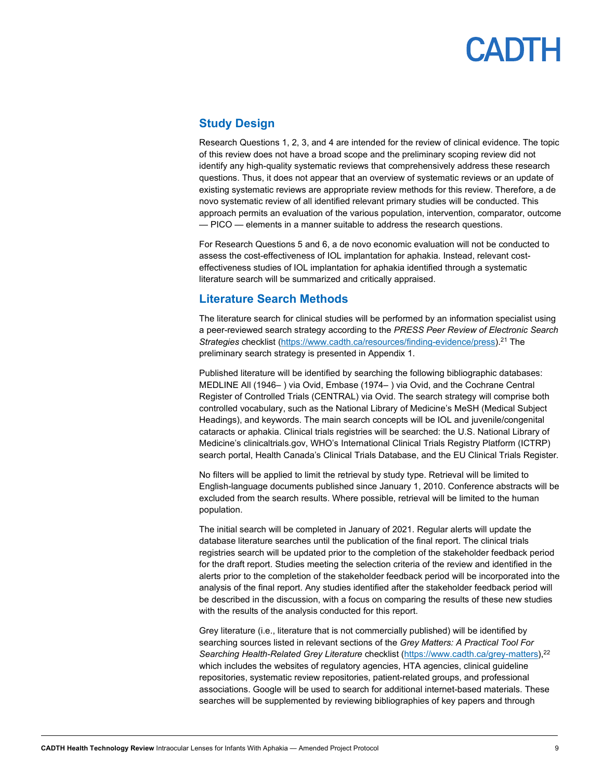### <span id="page-8-0"></span>**Study Design**

Research Questions 1, 2, 3, and 4 are intended for the review of clinical evidence. The topic of this review does not have a broad scope and the preliminary scoping review did not identify any high-quality systematic reviews that comprehensively address these research questions. Thus, it does not appear that an overview of systematic reviews or an update of existing systematic reviews are appropriate review methods for this review. Therefore, a de novo systematic review of all identified relevant primary studies will be conducted. This approach permits an evaluation of the various population, intervention, comparator, outcome — PICO — elements in a manner suitable to address the research questions.

For Research Questions 5 and 6, a de novo economic evaluation will not be conducted to assess the cost-effectiveness of IOL implantation for aphakia. Instead, relevant costeffectiveness studies of IOL implantation for aphakia identified through a systematic literature search will be summarized and critically appraised.

#### <span id="page-8-1"></span>**Literature Search Methods**

The literature search for clinical studies will be performed by an information specialist using a peer-reviewed search strategy according to the *PRESS Peer Review of Electronic Search Strategies* checklist [\(https://www.cadth.ca/resources/finding-evidence/press\)](https://www.cadth.ca/resources/finding-evidence/press).21 The preliminary search strategy is presented in Appendix 1.

Published literature will be identified by searching the following bibliographic databases: MEDLINE All (1946-) via Ovid, Embase (1974-) via Ovid, and the Cochrane Central Register of Controlled Trials (CENTRAL) via Ovid. The search strategy will comprise both controlled vocabulary, such as the National Library of Medicine's MeSH (Medical Subject Headings), and keywords. The main search concepts will be IOL and juvenile/congenital cataracts or aphakia. Clinical trials registries will be searched: the U.S. National Library of Medicine's clinicaltrials.gov, WHO's International Clinical Trials Registry Platform (ICTRP) search portal, Health Canada's Clinical Trials Database, and the EU Clinical Trials Register.

No filters will be applied to limit the retrieval by study type. Retrieval will be limited to English-language documents published since January 1, 2010. Conference abstracts will be excluded from the search results. Where possible, retrieval will be limited to the human population.

The initial search will be completed in January of 2021. Regular alerts will update the database literature searches until the publication of the final report. The clinical trials registries search will be updated prior to the completion of the stakeholder feedback period for the draft report. Studies meeting the selection criteria of the review and identified in the alerts prior to the completion of the stakeholder feedback period will be incorporated into the analysis of the final report. Any studies identified after the stakeholder feedback period will be described in the discussion, with a focus on comparing the results of these new studies with the results of the analysis conducted for this report.

Grey literature (i.e., literature that is not commercially published) will be identified by searching sources listed in relevant sections of the *Grey Matters: A Practical Tool For*  Searching Health-Related Grey Literature checklist [\(https://www.cadth.ca/grey-matters\)](https://www.cadth.ca/grey-matters),<sup>22</sup> which includes the websites of regulatory agencies, HTA agencies, clinical guideline repositories, systematic review repositories, patient-related groups, and professional associations. Google will be used to search for additional internet-based materials. These searches will be supplemented by reviewing bibliographies of key papers and through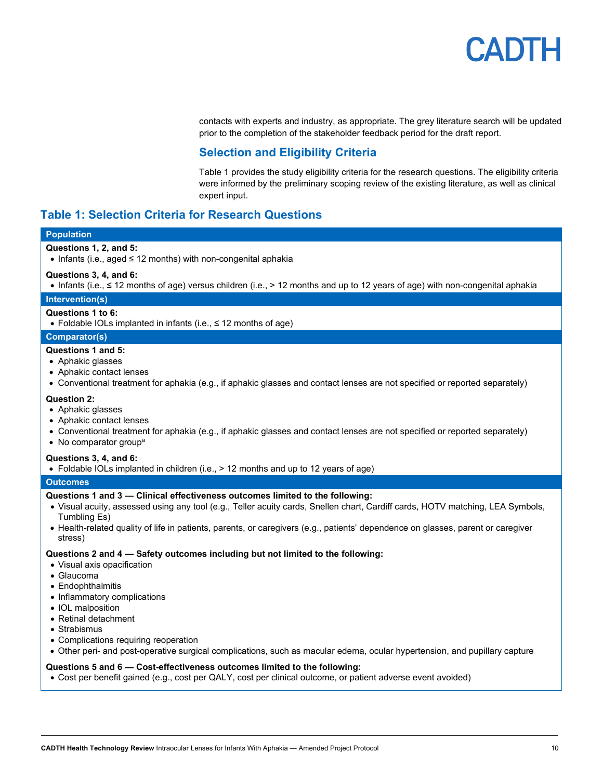

contacts with experts and industry, as appropriate. The grey literature search will be updated prior to the completion of the stakeholder feedback period for the draft report.

#### **Selection and Eligibility Criteri[a](#page-9-2)**

<span id="page-9-2"></span>[Table](#page-9-2) 1 provides the study eligibility criteria for the research questions. The eligibility criteria were informed by the preliminary scoping review of the existing literature, as well as clinical expert input.

#### <span id="page-9-1"></span><span id="page-9-0"></span>**Table 1: Selection Criteria for Research Questions**

#### **Population**

#### **Questions 1, 2, and 5:**

• Infants (i.e., aged ≤ 12 months) with non-congenital aphakia

#### **Questions 3, 4, and 6:**

• Infants (i.e., ≤ 12 months of age) versus children (i.e., > 12 months and up to 12 years of age) with non-congenital aphakia

#### **Intervention(s)**

#### **Questions 1 to 6:**

• Foldable IOLs implanted in infants (i.e., ≤ 12 months of age)

#### **Comparator(s)**

#### **Questions 1 and 5:**

- Aphakic glasses
- Aphakic contact lenses
- Conventional treatment for aphakia (e.g., if aphakic glasses and contact lenses are not specified or reported separately)

#### **Question 2:**

- Aphakic glasses
- Aphakic contact lenses
- Conventional treatment for aphakia (e.g., if aphakic glasses and contact lenses are not specified or reported separately)
- No comparator group<sup>a</sup>

#### **Questions 3, 4, and 6:**

• Foldable IOLs implanted in children (i.e., > 12 months and up to 12 years of age)

#### **Outcomes**

#### **Questions 1 and 3 — Clinical effectiveness outcomes limited to the following:**

- Visual acuity, assessed using any tool (e.g., Teller acuity cards, Snellen chart, Cardiff cards, HOTV matching, LEA Symbols, Tumbling Es)
- Health-related quality of life in patients, parents, or caregivers (e.g., patients' dependence on glasses, parent or caregiver stress)

#### **Questions 2 and 4 — Safety outcomes including but not limited to the following:**

- Visual axis opacification
- Glaucoma
- Endophthalmitis
- Inflammatory complications
- IOL malposition
- Retinal detachment
- Strabismus
- Complications requiring reoperation
- Other peri- and post-operative surgical complications, such as macular edema, ocular hypertension, and pupillary capture

#### **Questions 5 and 6 — Cost-effectiveness outcomes limited to the following:**

• Cost per benefit gained (e.g., cost per QALY, cost per clinical outcome, or patient adverse event avoided)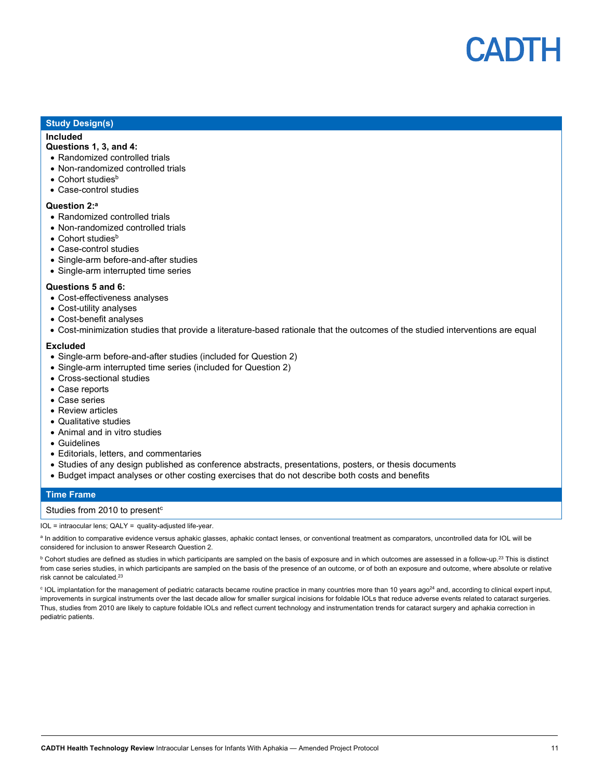

#### **Study Design(s)**

#### **Included**

#### **Questions 1, 3, and 4:**

- Randomized controlled trials
- Non-randomized controlled trials
- $\bullet$  Cohort studies<sup>b</sup>
- Case-control studies

#### **Question 2:a**

- Randomized controlled trials
- Non-randomized controlled trials
- Cohort studies<sup>b</sup>
- Case-control studies
- Single-arm before-and-after studies
- Single-arm interrupted time series

#### **Questions 5 and 6:**

- Cost-effectiveness analyses
- Cost-utility analyses
- Cost-benefit analyses
- Cost-minimization studies that provide a literature-based rationale that the outcomes of the studied interventions are equal

#### **Excluded**

- Single-arm before-and-after studies (included for Question 2)
- Single-arm interrupted time series (included for Question 2)
- Cross-sectional studies
- Case reports
- Case series
- Review articles
- Qualitative studies
- Animal and in vitro studies
- Guidelines
- Editorials, letters, and commentaries
- Studies of any design published as conference abstracts, presentations, posters, or thesis documents
- Budget impact analyses or other costing exercises that do not describe both costs and benefits

#### **Time Frame**

#### Studies from 2010 to present<sup>c</sup>

IOL = intraocular lens; QALY = quality-adjusted life-year.

a In addition to comparative evidence versus aphakic glasses, aphakic contact lenses, or conventional treatment as comparators, uncontrolled data for IOL will be considered for inclusion to answer Research Question 2.

 $^{\rm b}$  Cohort studies are defined as studies in which participants are sampled on the basis of exposure and in which outcomes are assessed in a follow-up.<sup>23</sup> This is distinct from case series studies, in which participants are sampled on the basis of the presence of an outcome, or of both an exposure and outcome, where absolute or relative risk cannot be calculated.<sup>23</sup>

<sup>c</sup> IOL implantation for the management of pediatric cataracts became routine practice in many countries more than 10 years ago<sup>24</sup> and, according to clinical expert input, improvements in surgical instruments over the last decade allow for smaller surgical incisions for foldable IOLs that reduce adverse events related to cataract surgeries. Thus, studies from 2010 are likely to capture foldable IOLs and reflect current technology and instrumentation trends for cataract surgery and aphakia correction in pediatric patients.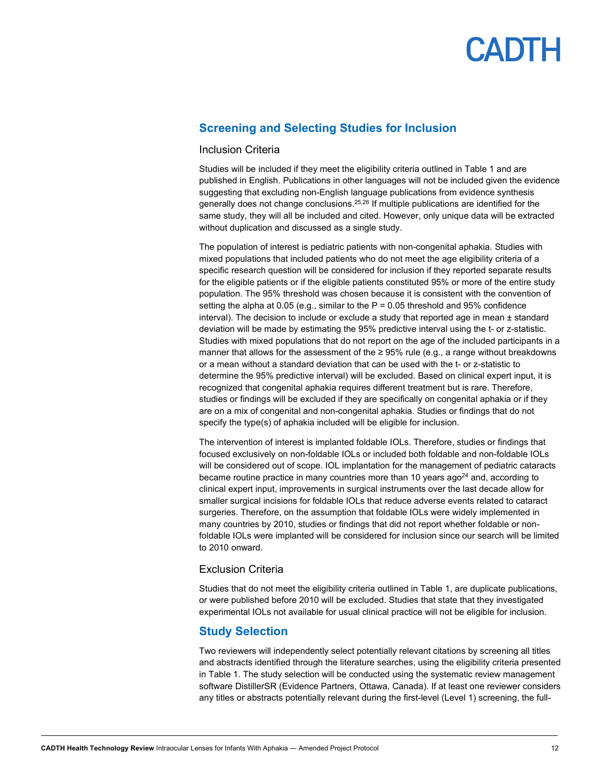#### <span id="page-11-0"></span>**Screening and Selecting Studies for Inclusion**

#### Inclusion Criteria

Studies will be included if they meet the eligibility criteria outlined in [Table 1](#page-9-1) and are published in English. Publications in other languages will not be included given the evidence suggesting that excluding non-English language publications from evidence synthesis generally does not change conclusions.<sup>25,26</sup> If multiple publications are identified for the same study, they will all be included and cited. However, only unique data will be extracted without duplication and discussed as a single study.

The population of interest is pediatric patients with non-congenital aphakia. Studies with mixed populations that included patients who do not meet the age eligibility criteria of a specific research question will be considered for inclusion if they reported separate results for the eligible patients or if the eligible patients constituted 95% or more of the entire study population. The 95% threshold was chosen because it is consistent with the convention of setting the alpha at 0.05 (e.g., similar to the  $P = 0.05$  threshold and 95% confidence interval). The decision to include or exclude a study that reported age in mean  $\pm$  standard deviation will be made by estimating the 95% predictive interval using the t- or z-statistic. Studies with mixed populations that do not report on the age of the included participants in a manner that allows for the assessment of the ≥ 95% rule (e.g., a range without breakdowns or a mean without a standard deviation that can be used with the t- or z-statistic to determine the 95% predictive interval) will be excluded. Based on clinical expert input, it is recognized that congenital aphakia requires different treatment but is rare. Therefore, studies or findings will be excluded if they are specifically on congenital aphakia or if they are on a mix of congenital and non-congenital aphakia. Studies or findings that do not specify the type(s) of aphakia included will be eligible for inclusion.

The intervention of interest is implanted foldable IOLs. Therefore, studies or findings that focused exclusively on non-foldable IOLs or included both foldable and non-foldable IOLs will be considered out of scope. IOL implantation for the management of pediatric cataracts became routine practice in many countries more than 10 years ago<sup>24</sup> and, according to clinical expert input, improvements in surgical instruments over the last decade allow for smaller surgical incisions for foldable IOLs that reduce adverse events related to cataract surgeries. Therefore, on the assumption that foldable IOLs were widely implemented in many countries by 2010, studies or findings that did not report whether foldable or nonfoldable IOLs were implanted will be considered for inclusion since our search will be limited to 2010 onward.

#### Exclusion Criteria

Studies that do not meet the eligibility criteria outlined in [Table 1,](#page-9-1) are duplicate publications, or were published before 2010 will be excluded. Studies that state that they investigated experimental IOLs not available for usual clinical practice will not be eligible for inclusion.

#### <span id="page-11-1"></span>**Study Selection**

Two reviewers will independently select potentially relevant citations by screening all titles and abstracts identified through the literature searches, using the eligibility criteria presented in [Table 1.](#page-9-1) The study selection will be conducted using the systematic review management software DistillerSR (Evidence Partners, Ottawa, Canada). If at least one reviewer considers any titles or abstracts potentially relevant during the first-level (Level 1) screening, the full-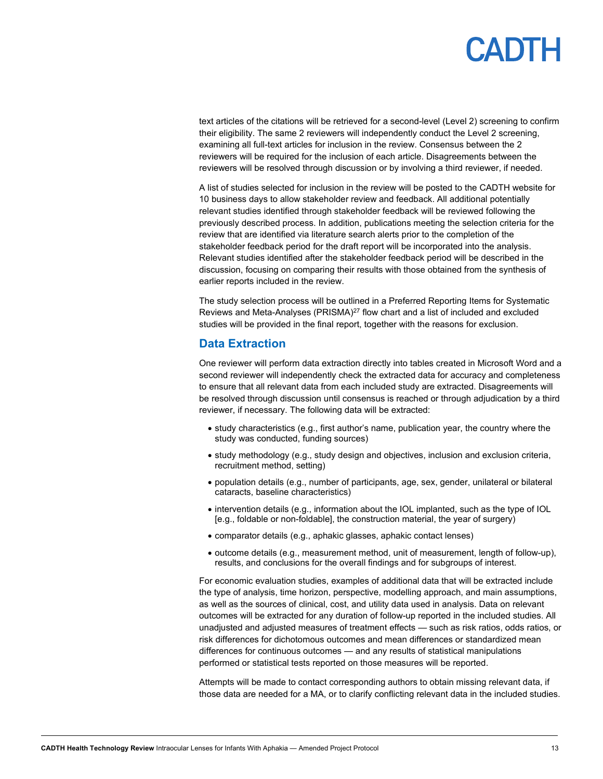## **ADTH**

text articles of the citations will be retrieved for a second-level (Level 2) screening to confirm their eligibility. The same 2 reviewers will independently conduct the Level 2 screening, examining all full-text articles for inclusion in the review. Consensus between the 2 reviewers will be required for the inclusion of each article. Disagreements between the reviewers will be resolved through discussion or by involving a third reviewer, if needed.

A list of studies selected for inclusion in the review will be posted to the CADTH website for 10 business days to allow stakeholder review and feedback. All additional potentially relevant studies identified through stakeholder feedback will be reviewed following the previously described process. In addition, publications meeting the selection criteria for the review that are identified via literature search alerts prior to the completion of the stakeholder feedback period for the draft report will be incorporated into the analysis. Relevant studies identified after the stakeholder feedback period will be described in the discussion, focusing on comparing their results with those obtained from the synthesis of earlier reports included in the review.

The study selection process will be outlined in a Preferred Reporting Items for Systematic Reviews and Meta-Analyses (PRISMA)<sup>27</sup> flow chart and a list of included and excluded studies will be provided in the final report, together with the reasons for exclusion.

#### <span id="page-12-0"></span>**Data Extraction**

One reviewer will perform data extraction directly into tables created in Microsoft Word and a second reviewer will independently check the extracted data for accuracy and completeness to ensure that all relevant data from each included study are extracted. Disagreements will be resolved through discussion until consensus is reached or through adjudication by a third reviewer, if necessary. The following data will be extracted:

- study characteristics (e.g., first author's name, publication year, the country where the study was conducted, funding sources)
- study methodology (e.g., study design and objectives, inclusion and exclusion criteria, recruitment method, setting)
- population details (e.g., number of participants, age, sex, gender, unilateral or bilateral cataracts, baseline characteristics)
- intervention details (e.g., information about the IOL implanted, such as the type of IOL [e.g., foldable or non-foldable], the construction material, the year of surgery)
- comparator details (e.g., aphakic glasses, aphakic contact lenses)
- outcome details (e.g., measurement method, unit of measurement, length of follow-up), results, and conclusions for the overall findings and for subgroups of interest.

For economic evaluation studies, examples of additional data that will be extracted include the type of analysis, time horizon, perspective, modelling approach, and main assumptions, as well as the sources of clinical, cost, and utility data used in analysis. Data on relevant outcomes will be extracted for any duration of follow-up reported in the included studies. All unadjusted and adjusted measures of treatment effects — such as risk ratios, odds ratios, or risk differences for dichotomous outcomes and mean differences or standardized mean differences for continuous outcomes — and any results of statistical manipulations performed or statistical tests reported on those measures will be reported.

Attempts will be made to contact corresponding authors to obtain missing relevant data, if those data are needed for a MA, or to clarify conflicting relevant data in the included studies.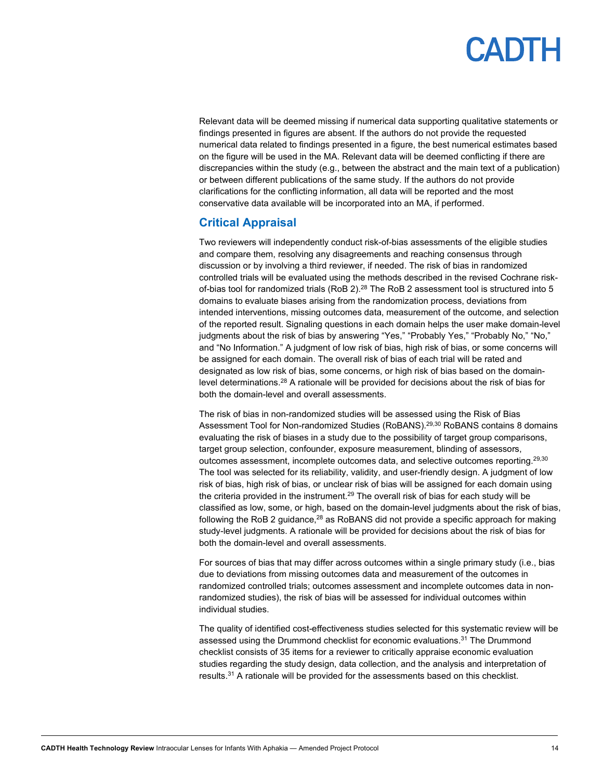Relevant data will be deemed missing if numerical data supporting qualitative statements or findings presented in figures are absent. If the authors do not provide the requested numerical data related to findings presented in a figure, the best numerical estimates based on the figure will be used in the MA. Relevant data will be deemed conflicting if there are discrepancies within the study (e.g., between the abstract and the main text of a publication) or between different publications of the same study. If the authors do not provide clarifications for the conflicting information, all data will be reported and the most conservative data available will be incorporated into an MA, if performed.

### <span id="page-13-0"></span>**Critical Appraisal**

Two reviewers will independently conduct risk-of-bias assessments of the eligible studies and compare them, resolving any disagreements and reaching consensus through discussion or by involving a third reviewer, if needed. The risk of bias in randomized controlled trials will be evaluated using the methods described in the revised Cochrane riskof-bias tool for randomized trials (RoB 2). $^{28}$  The RoB 2 assessment tool is structured into 5  $\,$ domains to evaluate biases arising from the randomization process, deviations from intended interventions, missing outcomes data, measurement of the outcome, and selection of the reported result. Signaling questions in each domain helps the user make domain-level judgments about the risk of bias by answering "Yes," "Probably Yes," "Probably No," "No," and "No Information." A judgment of low risk of bias, high risk of bias, or some concerns will be assigned for each domain. The overall risk of bias of each trial will be rated and designated as low risk of bias, some concerns, or high risk of bias based on the domainlevel determinations. <sup>28</sup> A rationale will be provided for decisions about the risk of bias for both the domain-level and overall assessments.

The risk of bias in non-randomized studies will be assessed using the Risk of Bias Assessment Tool for Non-randomized Studies (RoBANS).<sup>29,30</sup> RoBANS contains 8 domains evaluating the risk of biases in a study due to the possibility of target group comparisons, target group selection, confounder, exposure measurement, blinding of assessors, outcomes assessment, incomplete outcomes data, and selective outcomes reporting.29,30 The tool was selected for its reliability, validity, and user-friendly design. A judgment of low risk of bias, high risk of bias, or unclear risk of bias will be assigned for each domain using the criteria provided in the instrument. $^{29}$  The overall risk of bias for each study will be classified as low, some, or high, based on the domain-level judgments about the risk of bias, following the RoB 2 guidance, $28$  as RoBANS did not provide a specific approach for making study-level judgments. A rationale will be provided for decisions about the risk of bias for both the domain-level and overall assessments.

For sources of bias that may differ across outcomes within a single primary study (i.e., bias due to deviations from missing outcomes data and measurement of the outcomes in randomized controlled trials; outcomes assessment and incomplete outcomes data in nonrandomized studies), the risk of bias will be assessed for individual outcomes within individual studies.

The quality of identified cost-effectiveness studies selected for this systematic review will be assessed using the Drummond checklist for economic evaluations.<sup>31</sup> The Drummond checklist consists of 35 items for a reviewer to critically appraise economic evaluation studies regarding the study design, data collection, and the analysis and interpretation of results.31 A rationale will be provided for the assessments based on this checklist.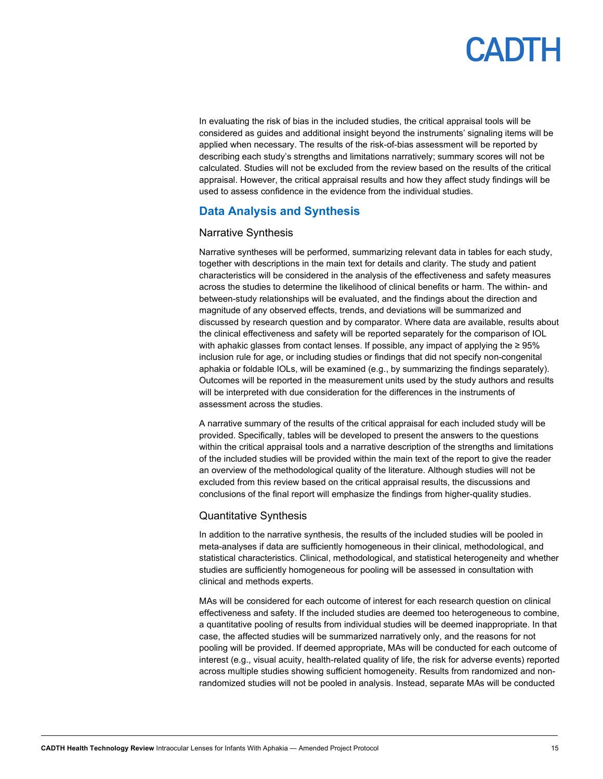In evaluating the risk of bias in the included studies, the critical appraisal tools will be considered as guides and additional insight beyond the instruments' signaling items will be applied when necessary. The results of the risk-of-bias assessment will be reported by describing each study's strengths and limitations narratively; summary scores will not be calculated. Studies will not be excluded from the review based on the results of the critical appraisal. However, the critical appraisal results and how they affect study findings will be used to assess confidence in the evidence from the individual studies.

#### <span id="page-14-0"></span>**Data Analysis and Synthesis**

#### Narrative Synthesis

Narrative syntheses will be performed, summarizing relevant data in tables for each study, together with descriptions in the main text for details and clarity. The study and patient characteristics will be considered in the analysis of the effectiveness and safety measures across the studies to determine the likelihood of clinical benefits or harm. The within- and between-study relationships will be evaluated, and the findings about the direction and magnitude of any observed effects, trends, and deviations will be summarized and discussed by research question and by comparator. Where data are available, results about the clinical effectiveness and safety will be reported separately for the comparison of IOL with aphakic glasses from contact lenses. If possible, any impact of applying the ≥ 95% inclusion rule for age, or including studies or findings that did not specify non-congenital aphakia or foldable IOLs, will be examined (e.g., by summarizing the findings separately). Outcomes will be reported in the measurement units used by the study authors and results will be interpreted with due consideration for the differences in the instruments of assessment across the studies.

A narrative summary of the results of the critical appraisal for each included study will be provided. Specifically, tables will be developed to present the answers to the questions within the critical appraisal tools and a narrative description of the strengths and limitations of the included studies will be provided within the main text of the report to give the reader an overview of the methodological quality of the literature. Although studies will not be excluded from this review based on the critical appraisal results, the discussions and conclusions of the final report will emphasize the findings from higher-quality studies.

#### Quantitative Synthesis

In addition to the narrative synthesis, the results of the included studies will be pooled in meta-analyses if data are sufficiently homogeneous in their clinical, methodological, and statistical characteristics. Clinical, methodological, and statistical heterogeneity and whether studies are sufficiently homogeneous for pooling will be assessed in consultation with clinical and methods experts.

MAs will be considered for each outcome of interest for each research question on clinical effectiveness and safety. If the included studies are deemed too heterogeneous to combine, a quantitative pooling of results from individual studies will be deemed inappropriate. In that case, the affected studies will be summarized narratively only, and the reasons for not pooling will be provided. If deemed appropriate, MAs will be conducted for each outcome of interest (e.g., visual acuity, health-related quality of life, the risk for adverse events) reported across multiple studies showing sufficient homogeneity. Results from randomized and nonrandomized studies will not be pooled in analysis. Instead, separate MAs will be conducted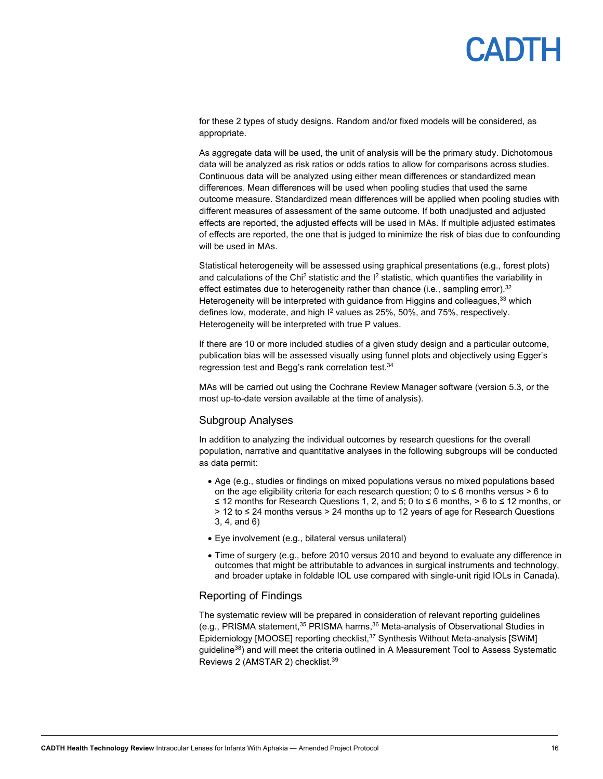## **ANTH**

for these 2 types of study designs. Random and/or fixed models will be considered, as appropriate.

As aggregate data will be used, the unit of analysis will be the primary study. Dichotomous data will be analyzed as risk ratios or odds ratios to allow for comparisons across studies. Continuous data will be analyzed using either mean differences or standardized mean differences. Mean differences will be used when pooling studies that used the same outcome measure. Standardized mean differences will be applied when pooling studies with different measures of assessment of the same outcome. If both unadjusted and adjusted effects are reported, the adjusted effects will be used in MAs. If multiple adjusted estimates of effects are reported, the one that is judged to minimize the risk of bias due to confounding will be used in MAs.

Statistical heterogeneity will be assessed using graphical presentations (e.g., forest plots) and calculations of the Chi<sup>2</sup> statistic and the  $I^2$  statistic, which quantifies the variability in effect estimates due to heterogeneity rather than chance (i.e., sampling error).  $32$ Heterogeneity will be interpreted with guidance from Higgins and colleagues,<sup>33</sup> which defines low, moderate, and high I<sup>2</sup> values as 25%, 50%, and 75%, respectively. Heterogeneity will be interpreted with true P values.

If there are 10 or more included studies of a given study design and a particular outcome, publication bias will be assessed visually using funnel plots and objectively using Egger's regression test and Begg's rank correlation test.34

MAs will be carried out using the Cochrane Review Manager software (version 5.3, or the most up-to-date version available at the time of analysis).

#### Subgroup Analyses

In addition to analyzing the individual outcomes by research questions for the overall population, narrative and quantitative analyses in the following subgroups will be conducted as data permit:

- Age (e.g., studies or findings on mixed populations versus no mixed populations based on the age eligibility criteria for each research question; 0 to  $\leq 6$  months versus > 6 to ≤ 12 months for Research Questions 1, 2, and 5; 0 to ≤ 6 months, > 6 to ≤ 12 months, or > 12 to ≤ 24 months versus > 24 months up to 12 years of age for Research Questions 3, 4, and 6)
- Eye involvement (e.g., bilateral versus unilateral)
- Time of surgery (e.g., before 2010 versus 2010 and beyond to evaluate any difference in outcomes that might be attributable to advances in surgical instruments and technology, and broader uptake in foldable IOL use compared with single-unit rigid IOLs in Canada).

#### Reporting of Findings

The systematic review will be prepared in consideration of relevant reporting guidelines (e.g., PRISMA statement,  $35$  PRISMA harms,  $36$  Meta-analysis of Observational Studies in Epidemiology [MOOSE] reporting checklist,<sup>37</sup> Synthesis Without Meta-analysis [SWiM] guideline38) and will meet the criteria outlined in A Measurement Tool to Assess Systematic Reviews 2 (AMSTAR 2) checklist.39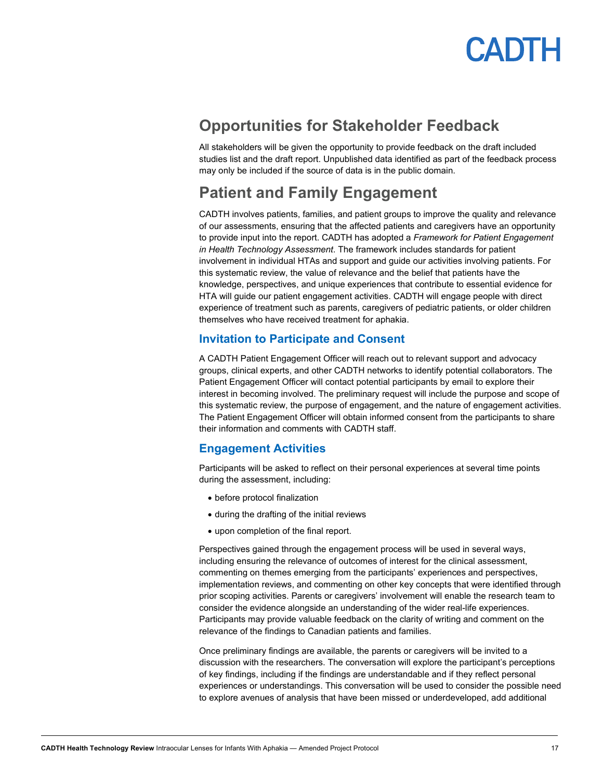

### <span id="page-16-0"></span>**Opportunities for Stakeholder Feedback**

All stakeholders will be given the opportunity to provide feedback on the draft included studies list and the draft report. Unpublished data identified as part of the feedback process may only be included if the source of data is in the public domain.

### <span id="page-16-1"></span>**Patient and Family Engagement**

CADTH involves patients, families, and patient groups to improve the quality and relevance of our assessments, ensuring that the affected patients and caregivers have an opportunity to provide input into the report. CADTH has adopted a *Framework for Patient Engagement in Health Technology Assessment*. The framework includes standards for patient involvement in individual HTAs and support and guide our activities involving patients. For this systematic review, the value of relevance and the belief that patients have the knowledge, perspectives, and unique experiences that contribute to essential evidence for HTA will guide our patient engagement activities. CADTH will engage people with direct experience of treatment such as parents, caregivers of pediatric patients, or older children themselves who have received treatment for aphakia.

#### <span id="page-16-2"></span>**Invitation to Participate and Consent**

A CADTH Patient Engagement Officer will reach out to relevant support and advocacy groups, clinical experts, and other CADTH networks to identify potential collaborators. The Patient Engagement Officer will contact potential participants by email to explore their interest in becoming involved. The preliminary request will include the purpose and scope of this systematic review, the purpose of engagement, and the nature of engagement activities. The Patient Engagement Officer will obtain informed consent from the participants to share their information and comments with CADTH staff.

#### <span id="page-16-3"></span>**Engagement Activities**

Participants will be asked to reflect on their personal experiences at several time points during the assessment, including:

- before protocol finalization
- during the drafting of the initial reviews
- upon completion of the final report.

Perspectives gained through the engagement process will be used in several ways, including ensuring the relevance of outcomes of interest for the clinical assessment, commenting on themes emerging from the participants' experiences and perspectives, implementation reviews, and commenting on other key concepts that were identified through prior scoping activities. Parents or caregivers' involvement will enable the research team to consider the evidence alongside an understanding of the wider real-life experiences. Participants may provide valuable feedback on the clarity of writing and comment on the relevance of the findings to Canadian patients and families.

Once preliminary findings are available, the parents or caregivers will be invited to a discussion with the researchers. The conversation will explore the participant's perceptions of key findings, including if the findings are understandable and if they reflect personal experiences or understandings. This conversation will be used to consider the possible need to explore avenues of analysis that have been missed or underdeveloped, add additional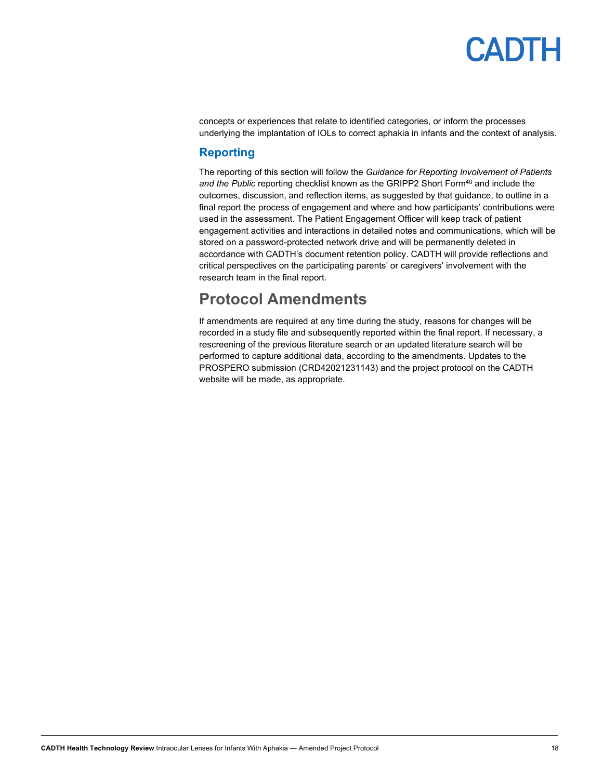concepts or experiences that relate to identified categories, or inform the processes underlying the implantation of IOLs to correct aphakia in infants and the context of analysis.

### <span id="page-17-0"></span>**Reporting**

The reporting of this section will follow the *Guidance for Reporting Involvement of Patients*  and the Public reporting checklist known as the GRIPP2 Short Form<sup>40</sup> and include the outcomes, discussion, and reflection items, as suggested by that guidance, to outline in a final report the process of engagement and where and how participants' contributions were used in the assessment. The Patient Engagement Officer will keep track of patient engagement activities and interactions in detailed notes and communications, which will be stored on a password-protected network drive and will be permanently deleted in accordance with CADTH's document retention policy. CADTH will provide reflections and critical perspectives on the participating parents' or caregivers' involvement with the research team in the final report.

### <span id="page-17-1"></span>**Protocol Amendments**

If amendments are required at any time during the study, reasons for changes will be recorded in a study file and subsequently reported within the final report. If necessary, a rescreening of the previous literature search or an updated literature search will be performed to capture additional data, according to the amendments. Updates to the PROSPERO submission (CRD42021231143) and the project protocol on the CADTH website will be made, as appropriate.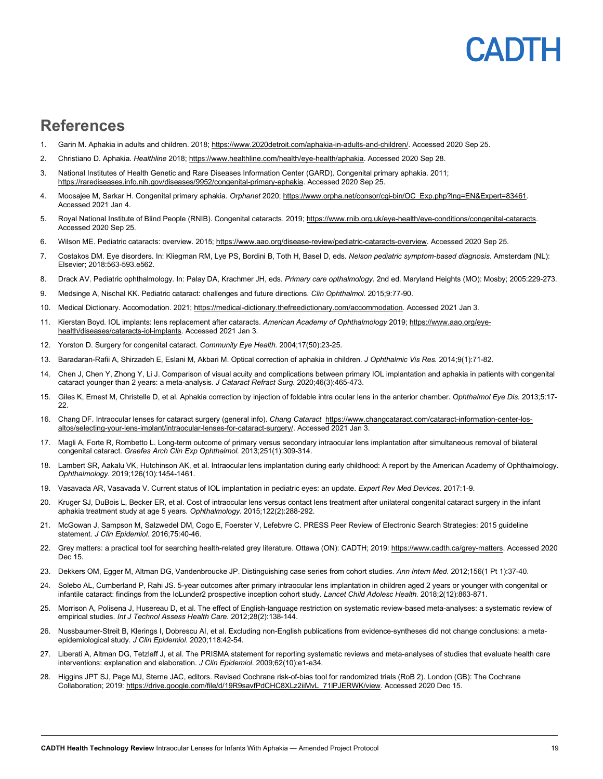## **ADIH**

### <span id="page-18-0"></span>**References**

- 1. Garin M. Aphakia in adults and children. 2018; [https://www.2020detroit.com/aphakia-in-adults-and-children/.](https://www.2020detroit.com/aphakia-in-adults-and-children/) Accessed 2020 Sep 25.
- 2. Christiano D. Aphakia. *Healthline* 2018[; https://www.healthline.com/health/eye-health/aphakia.](https://www.healthline.com/health/eye-health/aphakia) Accessed 2020 Sep 28.
- 3. National Institutes of Health Genetic and Rare Diseases Information Center (GARD). Congenital primary aphakia. 2011; [https://rarediseases.info.nih.gov/diseases/9952/congenital-primary-aphakia.](https://rarediseases.info.nih.gov/diseases/9952/congenital-primary-aphakia) Accessed 2020 Sep 25.
- 4. Moosajee M, Sarkar H. Congenital primary aphakia. *Orphanet* 2020[; https://www.orpha.net/consor/cgi-bin/OC\\_Exp.php?lng=EN&Expert=83461.](https://www.orpha.net/consor/cgi-bin/OC_Exp.php?lng=EN&Expert=83461)  Accessed 2021 Jan 4.
- 5. Royal National Institute of Blind People (RNIB). Congenital cataracts. 2019; https://www.rnib.org.uk/eye-health/eye-conditions/congenital-cataracts. Accessed 2020 Sep 25.
- 6. Wilson ME. Pediatric cataracts: overview. 2015[; https://www.aao.org/disease-review/pediatric-cataracts-overview.](https://www.aao.org/disease-review/pediatric-cataracts-overview) Accessed 2020 Sep 25.
- 7. Costakos DM. Eye disorders. In: Kliegman RM, Lye PS, Bordini B, Toth H, Basel D, eds. *Nelson pediatric symptom-based diagnosis*. Amsterdam (NL): Elsevier; 2018:563-593.e562.
- 8. Drack AV. Pediatric ophthalmology. In: Palay DA, Krachmer JH, eds. *Primary care opthalmology*. 2nd ed. Maryland Heights (MO): Mosby; 2005:229-273.
- 9. Medsinge A, Nischal KK. Pediatric cataract: challenges and future directions. *Clin Ophthalmol.* 2015;9:77-90.
- 10. Medical Dictionary. Accomodation. 2021[; https://medical-dictionary.thefreedictionary.com/accommodation.](https://medical-dictionary.thefreedictionary.com/accommodation) Accessed 2021 Jan 3.
- 11. Kierstan Boyd. IOL implants: lens replacement after cataracts. *American Academy of Ophthalmology* 2019; [https://www.aao.org/eye](https://www.aao.org/eye-health/diseases/cataracts-iol-implants)[health/diseases/cataracts-iol-implants.](https://www.aao.org/eye-health/diseases/cataracts-iol-implants) Accessed 2021 Jan 3.
- 12. Yorston D. Surgery for congenital cataract. *Community Eye Health.* 2004;17(50):23-25.
- 13. Baradaran-Rafii A, Shirzadeh E, Eslani M, Akbari M. Optical correction of aphakia in children. *J Ophthalmic Vis Res.* 2014;9(1):71-82.
- 14. Chen J, Chen Y, Zhong Y, Li J. Comparison of visual acuity and complications between primary IOL implantation and aphakia in patients with congenital cataract younger than 2 years: a meta-analysis. *J Cataract Refract Surg.* 2020;46(3):465-473.
- 15. Giles K, Ernest M, Christelle D, et al. Aphakia correction by injection of foldable intra ocular lens in the anterior chamber. *Ophthalmol Eye Dis.* 2013;5:17- 22.
- 16. Chang DF. Intraocular lenses for cataract surgery (general info). *Chang Cataract* [https://www.changcataract.com/cataract-information-center-los](https://www.changcataract.com/cataract-information-center-los-altos/selecting-your-lens-implant/intraocular-lenses-for-cataract-surgery/)[altos/selecting-your-lens-implant/intraocular-lenses-for-cataract-surgery/.](https://www.changcataract.com/cataract-information-center-los-altos/selecting-your-lens-implant/intraocular-lenses-for-cataract-surgery/) Accessed 2021 Jan 3.
- 17. Magli A, Forte R, Rombetto L. Long-term outcome of primary versus secondary intraocular lens implantation after simultaneous removal of bilateral congenital cataract. *Graefes Arch Clin Exp Ophthalmol.* 2013;251(1):309-314.
- 18. Lambert SR, Aakalu VK, Hutchinson AK, et al. Intraocular lens implantation during early childhood: A report by the American Academy of Ophthalmology. *Ophthalmology.* 2019;126(10):1454-1461.
- 19. Vasavada AR, Vasavada V. Current status of IOL implantation in pediatric eyes: an update. *Expert Rev Med Devices.* 2017:1-9.
- 20. Kruger SJ, DuBois L, Becker ER, et al. Cost of intraocular lens versus contact lens treatment after unilateral congenital cataract surgery in the infant aphakia treatment study at age 5 years. *Ophthalmology.* 2015;122(2):288-292.
- 21. McGowan J, Sampson M, Salzwedel DM, Cogo E, Foerster V, Lefebvre C. PRESS Peer Review of Electronic Search Strategies: 2015 guideline statement. *J Clin Epidemiol.* 2016;75:40-46.
- 22. Grey matters: a practical tool for searching health-related grey literature. Ottawa (ON): CADTH; 2019[: https://www.cadth.ca/grey-matters.](https://www.cadth.ca/grey-matters) Accessed 2020 Dec 15.
- 23. Dekkers OM, Egger M, Altman DG, Vandenbroucke JP. Distinguishing case series from cohort studies. *Ann Intern Med.* 2012;156(1 Pt 1):37-40.
- 24. Solebo AL, Cumberland P, Rahi JS. 5-year outcomes after primary intraocular lens implantation in children aged 2 years or younger with congenital or infantile cataract: findings from the IoLunder2 prospective inception cohort study. *Lancet Child Adolesc Health.* 2018;2(12):863-871.
- 25. Morrison A, Polisena J, Husereau D, et al. The effect of English-language restriction on systematic review-based meta-analyses: a systematic review of empirical studies. *Int J Technol Assess Health Care.* 2012;28(2):138-144.
- 26. Nussbaumer-Streit B, Klerings I, Dobrescu AI, et al. Excluding non-English publications from evidence-syntheses did not change conclusions: a metaepidemiological study. *J Clin Epidemiol.* 2020;118:42-54.
- 27. Liberati A, Altman DG, Tetzlaff J, et al. The PRISMA statement for reporting systematic reviews and meta-analyses of studies that evaluate health care interventions: explanation and elaboration. *J Clin Epidemiol.* 2009;62(10):e1-e34.
- 28. Higgins JPT SJ, Page MJ, Sterne JAC, editors. Revised Cochrane risk-of-bias tool for randomized trials (RoB 2). London (GB): The Cochrane Collaboration; 2019[: https://drive.google.com/file/d/19R9savfPdCHC8XLz2iiMvL\\_71lPJERWK/view.](https://drive.google.com/file/d/19R9savfPdCHC8XLz2iiMvL_71lPJERWK/view) Accessed 2020 Dec 15.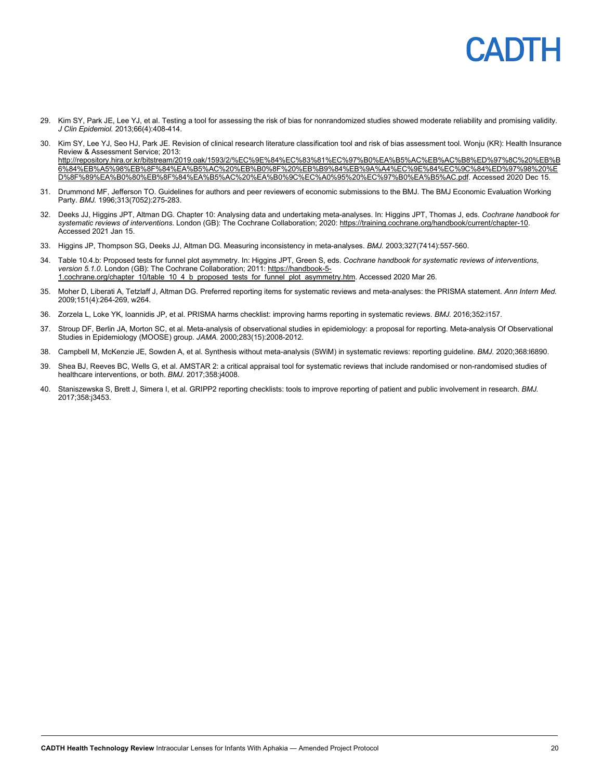- 29. Kim SY, Park JE, Lee YJ, et al. Testing a tool for assessing the risk of bias for nonrandomized studies showed moderate reliability and promising validity. *J Clin Epidemiol.* 2013;66(4):408-414.
- 30. Kim SY, Lee YJ, Seo HJ, Park JE. Revision of clinical research literature classification tool and risk of bias assessment tool. Wonju (KR): Health Insurance Review & Assessment Service; 2013: [http://repository.hira.or.kr/bitstream/2019.oak/1593/2/%EC%9E%84%EC%83%81%EC%97%B0%EA%B5%AC%EB%AC%B8%ED%97%8C%20%EB%B](http://repository.hira.or.kr/bitstream/2019.oak/1593/2/%EC%9E%84%EC%83%81%EC%97%B0%EA%B5%AC%EB%AC%B8%ED%97%8C%20%EB%B6%84%EB%A5%98%EB%8F%84%EA%B5%AC%20%EB%B0%8F%20%EB%B9%84%EB%9A%A4%EC%9E%84%EC%9C%84%ED%97%98%20%ED%8F%89%EA%B0%80%EB%8F%84%EA%B5%AC%20%EA%B0%9C%EC%A0%95%20%EC%97%B0%EA%B5%AC.pdf) [6%84%EB%A5%98%EB%8F%84%EA%B5%AC%20%EB%B0%8F%20%EB%B9%84%EB%9A%A4%EC%9E%84%EC%9C%84%ED%97%98%20%E](http://repository.hira.or.kr/bitstream/2019.oak/1593/2/%EC%9E%84%EC%83%81%EC%97%B0%EA%B5%AC%EB%AC%B8%ED%97%8C%20%EB%B6%84%EB%A5%98%EB%8F%84%EA%B5%AC%20%EB%B0%8F%20%EB%B9%84%EB%9A%A4%EC%9E%84%EC%9C%84%ED%97%98%20%ED%8F%89%EA%B0%80%EB%8F%84%EA%B5%AC%20%EA%B0%9C%EC%A0%95%20%EC%97%B0%EA%B5%AC.pdf) [D%8F%89%EA%B0%80%EB%8F%84%EA%B5%AC%20%EA%B0%9C%EC%A0%95%20%EC%97%B0%EA%B5%AC.pdf.](http://repository.hira.or.kr/bitstream/2019.oak/1593/2/%EC%9E%84%EC%83%81%EC%97%B0%EA%B5%AC%EB%AC%B8%ED%97%8C%20%EB%B6%84%EB%A5%98%EB%8F%84%EA%B5%AC%20%EB%B0%8F%20%EB%B9%84%EB%9A%A4%EC%9E%84%EC%9C%84%ED%97%98%20%ED%8F%89%EA%B0%80%EB%8F%84%EA%B5%AC%20%EA%B0%9C%EC%A0%95%20%EC%97%B0%EA%B5%AC.pdf) Accessed 2020 Dec 15.
- 31. Drummond MF, Jefferson TO. Guidelines for authors and peer reviewers of economic submissions to the BMJ. The BMJ Economic Evaluation Working Party. *BMJ.* 1996;313(7052):275-283.
- 32. Deeks JJ, Higgins JPT, Altman DG. Chapter 10: Analysing data and undertaking meta-analyses. In: Higgins JPT, Thomas J, eds. *Cochrane handbook for systematic reviews of interventions*. London (GB): The Cochrane Collaboration; 2020[: https://training.cochrane.org/handbook/current/chapter-10.](https://training.cochrane.org/handbook/current/chapter-10)  Accessed 2021 Jan 15.
- 33. Higgins JP, Thompson SG, Deeks JJ, Altman DG. Measuring inconsistency in meta-analyses. *BMJ.* 2003;327(7414):557-560.
- 34. Table 10.4.b: Proposed tests for funnel plot asymmetry. In: Higgins JPT, Green S, eds. *Cochrane handbook for systematic reviews of interventions, version 5.1.0*. London (GB): The Cochrane Collaboration; 2011[: https://handbook-5-](https://handbook-5-1.cochrane.org/chapter_10/table_10_4_b_proposed_tests_for_funnel_plot_asymmetry.htm) [1.cochrane.org/chapter\\_10/table\\_10\\_4\\_b\\_proposed\\_tests\\_for\\_funnel\\_plot\\_asymmetry.htm.](https://handbook-5-1.cochrane.org/chapter_10/table_10_4_b_proposed_tests_for_funnel_plot_asymmetry.htm) Accessed 2020 Mar 26.
- 35. Moher D, Liberati A, Tetzlaff J, Altman DG. Preferred reporting items for systematic reviews and meta-analyses: the PRISMA statement. *Ann Intern Med.*  2009;151(4):264-269, w264.
- 36. Zorzela L, Loke YK, Ioannidis JP, et al. PRISMA harms checklist: improving harms reporting in systematic reviews. *BMJ.* 2016;352:i157.
- 37. Stroup DF, Berlin JA, Morton SC, et al. Meta-analysis of observational studies in epidemiology: a proposal for reporting. Meta-analysis Of Observational Studies in Epidemiology (MOOSE) group. *JAMA.* 2000;283(15):2008-2012.
- 38. Campbell M, McKenzie JE, Sowden A, et al. Synthesis without meta-analysis (SWiM) in systematic reviews: reporting guideline. *BMJ.* 2020;368:l6890.
- 39. Shea BJ, Reeves BC, Wells G, et al. AMSTAR 2: a critical appraisal tool for systematic reviews that include randomised or non-randomised studies of healthcare interventions, or both. *BMJ.* 2017;358:j4008.
- 40. Staniszewska S, Brett J, Simera I, et al. GRIPP2 reporting checklists: tools to improve reporting of patient and public involvement in research. *BMJ.*  2017;358:j3453.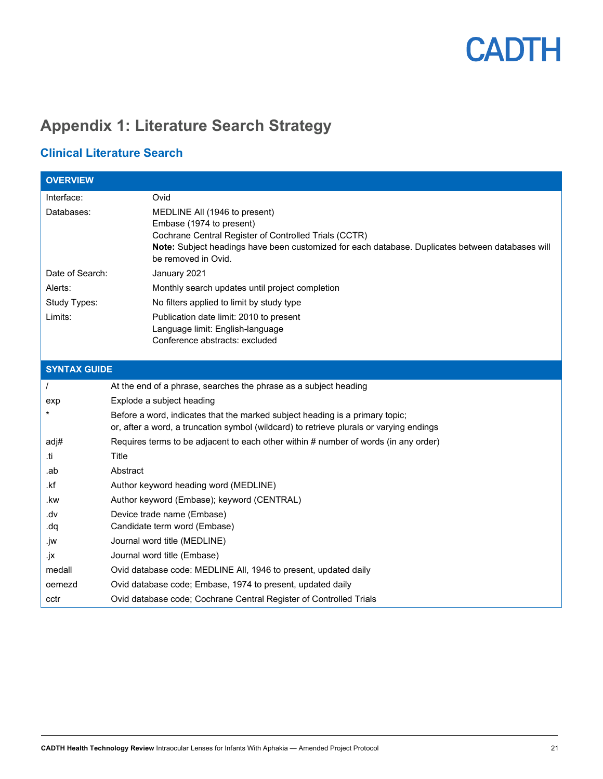## <span id="page-20-0"></span>**Appendix 1: Literature Search Strategy**

### **Clinical Literature Search**

| <b>OVERVIEW</b>     |                                                                                                                                                                                                                                               |  |
|---------------------|-----------------------------------------------------------------------------------------------------------------------------------------------------------------------------------------------------------------------------------------------|--|
| Interface:          | Ovid                                                                                                                                                                                                                                          |  |
| Databases:          | MEDLINE All (1946 to present)<br>Embase (1974 to present)<br>Cochrane Central Register of Controlled Trials (CCTR)<br>Note: Subject headings have been customized for each database. Duplicates between databases will<br>be removed in Ovid. |  |
| Date of Search:     | January 2021                                                                                                                                                                                                                                  |  |
| Alerts:             | Monthly search updates until project completion                                                                                                                                                                                               |  |
| Study Types:        | No filters applied to limit by study type                                                                                                                                                                                                     |  |
| Limits:             | Publication date limit: 2010 to present<br>Language limit: English-language<br>Conference abstracts: excluded                                                                                                                                 |  |
| <b>SYNTAX GUIDE</b> |                                                                                                                                                                                                                                               |  |
| $\prime$            | At the end of a phrase, searches the phrase as a subject heading                                                                                                                                                                              |  |
| exp                 | Explode a subject heading                                                                                                                                                                                                                     |  |
|                     | Before a word, indicates that the marked subject heading is a primary topic;<br>or, after a word, a truncation symbol (wildcard) to retrieve plurals or varying endings                                                                       |  |
| adj#                | Requires terms to be adjacent to each other within # number of words (in any order)                                                                                                                                                           |  |
| .ti                 | Title                                                                                                                                                                                                                                         |  |
| .ab                 | Abstract                                                                                                                                                                                                                                      |  |
| .kf                 | Author keyword heading word (MEDLINE)                                                                                                                                                                                                         |  |
| .kw                 | Author keyword (Embase); keyword (CENTRAL)                                                                                                                                                                                                    |  |
| vb.                 | Device trade name (Embase)                                                                                                                                                                                                                    |  |
| dq.                 | Candidate term word (Embase)                                                                                                                                                                                                                  |  |
| .jw                 | Journal word title (MEDLINE)                                                                                                                                                                                                                  |  |
| .jx                 | Journal word title (Embase)                                                                                                                                                                                                                   |  |
| medall              | Ovid database code: MEDLINE All, 1946 to present, updated daily                                                                                                                                                                               |  |
| oemezd              | Ovid database code; Embase, 1974 to present, updated daily                                                                                                                                                                                    |  |
| cctr                | Ovid database code; Cochrane Central Register of Controlled Trials                                                                                                                                                                            |  |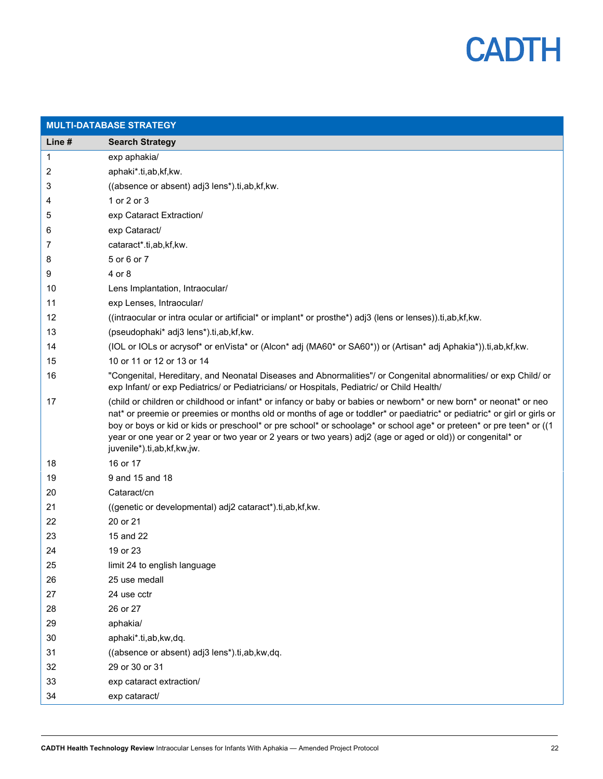

| <b>MULTI-DATABASE STRATEGY</b> |                                                                                                                                                                                                                                                                                                                                                                                                                                                                                                                     |  |
|--------------------------------|---------------------------------------------------------------------------------------------------------------------------------------------------------------------------------------------------------------------------------------------------------------------------------------------------------------------------------------------------------------------------------------------------------------------------------------------------------------------------------------------------------------------|--|
| Line #                         | <b>Search Strategy</b>                                                                                                                                                                                                                                                                                                                                                                                                                                                                                              |  |
| 1                              | exp aphakia/                                                                                                                                                                                                                                                                                                                                                                                                                                                                                                        |  |
| 2                              | aphaki*.ti,ab,kf,kw.                                                                                                                                                                                                                                                                                                                                                                                                                                                                                                |  |
| 3                              | ((absence or absent) adj3 lens*).ti,ab,kf,kw.                                                                                                                                                                                                                                                                                                                                                                                                                                                                       |  |
| 4                              | 1 or 2 or 3                                                                                                                                                                                                                                                                                                                                                                                                                                                                                                         |  |
| 5                              | exp Cataract Extraction/                                                                                                                                                                                                                                                                                                                                                                                                                                                                                            |  |
| 6                              | exp Cataract/                                                                                                                                                                                                                                                                                                                                                                                                                                                                                                       |  |
| 7                              | cataract*.ti,ab,kf,kw.                                                                                                                                                                                                                                                                                                                                                                                                                                                                                              |  |
| 8                              | 5 or 6 or 7                                                                                                                                                                                                                                                                                                                                                                                                                                                                                                         |  |
| 9                              | 4 or 8                                                                                                                                                                                                                                                                                                                                                                                                                                                                                                              |  |
| 10                             | Lens Implantation, Intraocular/                                                                                                                                                                                                                                                                                                                                                                                                                                                                                     |  |
| 11                             | exp Lenses, Intraocular/                                                                                                                                                                                                                                                                                                                                                                                                                                                                                            |  |
| 12                             | ((intraocular or intra ocular or artificial* or implant* or prosthe*) adj3 (lens or lenses)).ti,ab,kf,kw.                                                                                                                                                                                                                                                                                                                                                                                                           |  |
| 13                             | (pseudophaki* adj3 lens*).ti,ab,kf,kw.                                                                                                                                                                                                                                                                                                                                                                                                                                                                              |  |
| 14                             | (IOL or IOLs or acrysof* or enVista* or (Alcon* adj (MA60* or SA60*)) or (Artisan* adj Aphakia*)).ti,ab,kf,kw.                                                                                                                                                                                                                                                                                                                                                                                                      |  |
| 15                             | 10 or 11 or 12 or 13 or 14                                                                                                                                                                                                                                                                                                                                                                                                                                                                                          |  |
| 16                             | "Congenital, Hereditary, and Neonatal Diseases and Abnormalities"/ or Congenital abnormalities/ or exp Child/ or<br>exp Infant/ or exp Pediatrics/ or Pediatricians/ or Hospitals, Pediatric/ or Child Health/                                                                                                                                                                                                                                                                                                      |  |
| 17                             | (child or children or childhood or infant* or infancy or baby or babies or newborn* or new born* or neonat* or neo<br>nat* or preemie or preemies or months old or months of age or toddler* or paediatric* or pediatric* or girl or girls or<br>boy or boys or kid or kids or preschool* or pre school* or schoolage* or school age* or preteen* or pre teen* or ((1<br>year or one year or 2 year or two year or 2 years or two years) adj2 (age or aged or old)) or congenital* or<br>juvenile*).ti,ab,kf,kw,jw. |  |
| 18                             | 16 or 17                                                                                                                                                                                                                                                                                                                                                                                                                                                                                                            |  |
| 19                             | 9 and 15 and 18                                                                                                                                                                                                                                                                                                                                                                                                                                                                                                     |  |
| 20                             | Cataract/cn                                                                                                                                                                                                                                                                                                                                                                                                                                                                                                         |  |
| 21                             | ((genetic or developmental) adj2 cataract*).ti,ab,kf,kw.                                                                                                                                                                                                                                                                                                                                                                                                                                                            |  |
| 22                             | 20 or 21                                                                                                                                                                                                                                                                                                                                                                                                                                                                                                            |  |
| 23                             | 15 and 22                                                                                                                                                                                                                                                                                                                                                                                                                                                                                                           |  |
| 24                             | 19 or 23                                                                                                                                                                                                                                                                                                                                                                                                                                                                                                            |  |
| 25                             | limit 24 to english language                                                                                                                                                                                                                                                                                                                                                                                                                                                                                        |  |
| 26                             | 25 use medall                                                                                                                                                                                                                                                                                                                                                                                                                                                                                                       |  |
| 27                             | 24 use cctr                                                                                                                                                                                                                                                                                                                                                                                                                                                                                                         |  |
| 28                             | 26 or 27                                                                                                                                                                                                                                                                                                                                                                                                                                                                                                            |  |
| 29                             | aphakia/                                                                                                                                                                                                                                                                                                                                                                                                                                                                                                            |  |
| 30                             | aphaki*.ti,ab,kw,dq.                                                                                                                                                                                                                                                                                                                                                                                                                                                                                                |  |
| 31                             | ((absence or absent) adj3 lens*).ti,ab,kw,dq.                                                                                                                                                                                                                                                                                                                                                                                                                                                                       |  |
| 32                             | 29 or 30 or 31                                                                                                                                                                                                                                                                                                                                                                                                                                                                                                      |  |
| 33                             | exp cataract extraction/                                                                                                                                                                                                                                                                                                                                                                                                                                                                                            |  |
| 34                             | exp cataract/                                                                                                                                                                                                                                                                                                                                                                                                                                                                                                       |  |
|                                |                                                                                                                                                                                                                                                                                                                                                                                                                                                                                                                     |  |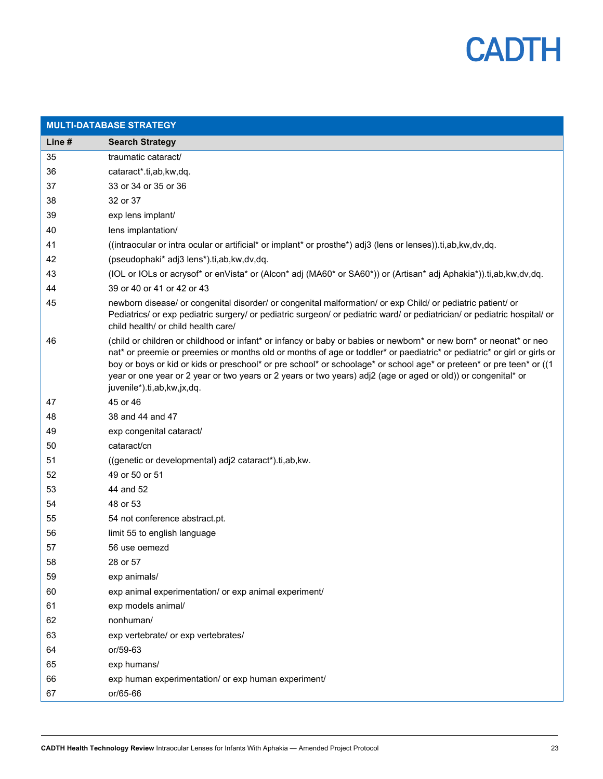

| <b>MULTI-DATABASE STRATEGY</b> |                                                                                                                                                                                                                                                                                                                                                                                                                                                                                                                      |  |
|--------------------------------|----------------------------------------------------------------------------------------------------------------------------------------------------------------------------------------------------------------------------------------------------------------------------------------------------------------------------------------------------------------------------------------------------------------------------------------------------------------------------------------------------------------------|--|
| Line #                         | <b>Search Strategy</b>                                                                                                                                                                                                                                                                                                                                                                                                                                                                                               |  |
| 35                             | traumatic cataract/                                                                                                                                                                                                                                                                                                                                                                                                                                                                                                  |  |
| 36                             | cataract*.ti,ab,kw,dq.                                                                                                                                                                                                                                                                                                                                                                                                                                                                                               |  |
| 37                             | 33 or 34 or 35 or 36                                                                                                                                                                                                                                                                                                                                                                                                                                                                                                 |  |
| 38                             | 32 or 37                                                                                                                                                                                                                                                                                                                                                                                                                                                                                                             |  |
| 39                             | exp lens implant/                                                                                                                                                                                                                                                                                                                                                                                                                                                                                                    |  |
| 40                             | lens implantation/                                                                                                                                                                                                                                                                                                                                                                                                                                                                                                   |  |
| 41                             | ((intraocular or intra ocular or artificial* or implant* or prosthe*) adj3 (lens or lenses)).ti,ab,kw,dv,dq.                                                                                                                                                                                                                                                                                                                                                                                                         |  |
| 42                             | (pseudophaki* adj3 lens*).ti,ab,kw,dv,dq.                                                                                                                                                                                                                                                                                                                                                                                                                                                                            |  |
| 43                             | (IOL or IOLs or acrysof* or enVista* or (Alcon* adj (MA60* or SA60*)) or (Artisan* adj Aphakia*)).ti,ab,kw,dv,dq.                                                                                                                                                                                                                                                                                                                                                                                                    |  |
| 44                             | 39 or 40 or 41 or 42 or 43                                                                                                                                                                                                                                                                                                                                                                                                                                                                                           |  |
| 45                             | newborn disease/ or congenital disorder/ or congenital malformation/ or exp Child/ or pediatric patient/ or<br>Pediatrics/ or exp pediatric surgery/ or pediatric surgeon/ or pediatric ward/ or pediatrician/ or pediatric hospital/ or<br>child health/ or child health care/                                                                                                                                                                                                                                      |  |
| 46                             | (child or children or childhood or infant* or infancy or baby or babies or newborn* or new born* or neonat* or neo<br>nat* or preemie or preemies or months old or months of age or toddler* or paediatric* or pediatric* or girl or girls or<br>boy or boys or kid or kids or preschool* or pre school* or schoolage* or school age* or preteen* or pre teen* or ((1<br>year or one year or 2 year or two years or 2 years or two years) adj2 (age or aged or old)) or congenital* or<br>juvenile*).ti,ab,kw,jx,dq. |  |
| 47                             | 45 or 46                                                                                                                                                                                                                                                                                                                                                                                                                                                                                                             |  |
| 48                             | 38 and 44 and 47                                                                                                                                                                                                                                                                                                                                                                                                                                                                                                     |  |
| 49                             | exp congenital cataract/                                                                                                                                                                                                                                                                                                                                                                                                                                                                                             |  |
| 50                             | cataract/cn                                                                                                                                                                                                                                                                                                                                                                                                                                                                                                          |  |
| 51                             | ((genetic or developmental) adj2 cataract*).ti,ab,kw.                                                                                                                                                                                                                                                                                                                                                                                                                                                                |  |
| 52                             | 49 or 50 or 51                                                                                                                                                                                                                                                                                                                                                                                                                                                                                                       |  |
| 53                             | 44 and 52                                                                                                                                                                                                                                                                                                                                                                                                                                                                                                            |  |
| 54                             | 48 or 53                                                                                                                                                                                                                                                                                                                                                                                                                                                                                                             |  |
| 55                             | 54 not conference abstract.pt.                                                                                                                                                                                                                                                                                                                                                                                                                                                                                       |  |
| 56                             | limit 55 to english language                                                                                                                                                                                                                                                                                                                                                                                                                                                                                         |  |
| 57                             | 56 use oemezd                                                                                                                                                                                                                                                                                                                                                                                                                                                                                                        |  |
| 58                             | 28 or 57                                                                                                                                                                                                                                                                                                                                                                                                                                                                                                             |  |
| 59                             | exp animals/                                                                                                                                                                                                                                                                                                                                                                                                                                                                                                         |  |
| 60                             | exp animal experimentation/ or exp animal experiment/                                                                                                                                                                                                                                                                                                                                                                                                                                                                |  |
| 61                             | exp models animal/                                                                                                                                                                                                                                                                                                                                                                                                                                                                                                   |  |
| 62                             | nonhuman/                                                                                                                                                                                                                                                                                                                                                                                                                                                                                                            |  |
| 63                             | exp vertebrate/ or exp vertebrates/                                                                                                                                                                                                                                                                                                                                                                                                                                                                                  |  |
| 64                             | or/59-63                                                                                                                                                                                                                                                                                                                                                                                                                                                                                                             |  |
| 65                             | exp humans/                                                                                                                                                                                                                                                                                                                                                                                                                                                                                                          |  |
| 66                             | exp human experimentation/ or exp human experiment/                                                                                                                                                                                                                                                                                                                                                                                                                                                                  |  |
| 67                             | or/65-66                                                                                                                                                                                                                                                                                                                                                                                                                                                                                                             |  |
|                                |                                                                                                                                                                                                                                                                                                                                                                                                                                                                                                                      |  |